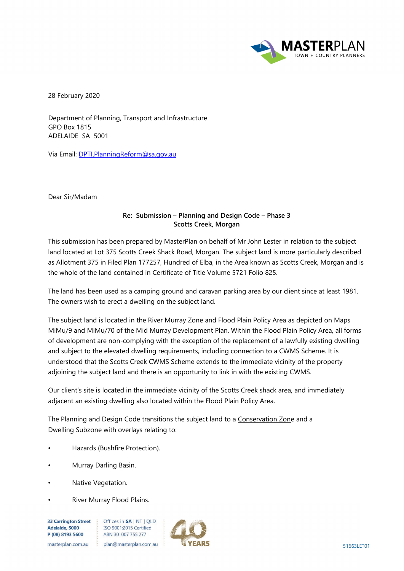

28 February 2020

Department of Planning, Transport and Infrastructure GPO Box 1815 ADELAIDE SA 5001

Via Email: [DPTI.PlanningReform@sa.gov.au](mailto:DPTI.PlanningReform@sa.gov.au)

Dear Sir/Madam

## **Re: Submission – Planning and Design Code – Phase 3 Scotts Creek, Morgan**

This submission has been prepared by MasterPlan on behalf of Mr John Lester in relation to the subject land located at Lot 375 Scotts Creek Shack Road, Morgan. The subject land is more particularly described as Allotment 375 in Filed Plan 177257, Hundred of Elba, in the Area known as Scotts Creek, Morgan and is the whole of the land contained in Certificate of Title Volume 5721 Folio 825.

The land has been used as a camping ground and caravan parking area by our client since at least 1981. The owners wish to erect a dwelling on the subject land.

The subject land is located in the River Murray Zone and Flood Plain Policy Area as depicted on Maps MiMu/9 and MiMu/70 of the Mid Murray Development Plan. Within the Flood Plain Policy Area, all forms of development are non-complying with the exception of the replacement of a lawfully existing dwelling and subject to the elevated dwelling requirements, including connection to a CWMS Scheme. It is understood that the Scotts Creek CWMS Scheme extends to the immediate vicinity of the property adjoining the subject land and there is an opportunity to link in with the existing CWMS.

Our client's site is located in the immediate vicinity of the Scotts Creek shack area, and immediately adjacent an existing dwelling also located within the Flood Plain Policy Area.

The Planning and Design Code transitions the subject land to a Conservation Zone and a Dwelling Subzone with overlays relating to:

- Hazards (Bushfire Protection).
- Murray Darling Basin.
- Native Vegetation.
- River Murray Flood Plains.

**33 Carrington Street** Adelaide, 5000 P (08) 8193 5600

Offices in SA | NT | QLD ISO 9001:2015 Certified ABN 30 007 755 277

masterplan.com.au plan@masterplan.com.au